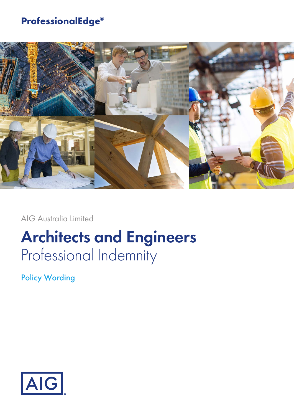# **ProfessionalEdge®**



AIG Australia Limited

# **Architects and Engineers** Professional Indemnity

Policy Wording

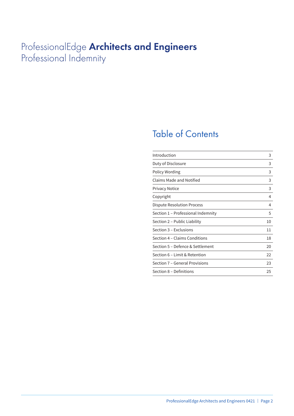# ProfessionalEdge **Architects and Engineers** Professional Indemnity

# Table of Contents

| Introduction                       | 3  |
|------------------------------------|----|
| Duty of Disclosure                 | 3  |
| Policy Wording                     | 3  |
| Claims Made and Notified           | 3  |
| <b>Privacy Notice</b>              | 3  |
| Copyright                          | 4  |
| Dispute Resolution Process         | 4  |
| Section 1 – Professional Indemnity | 5  |
| Section 2 – Public Liability       | 10 |
| Section 3 – Exclusions             | 11 |
| Section 4 – Claims Conditions      | 18 |
| Section 5 – Defence & Settlement   | 20 |
| Section 6 - Limit & Retention      | 22 |
| Section 7 - General Provisions     | 23 |
| Section 8 - Definitions            | 25 |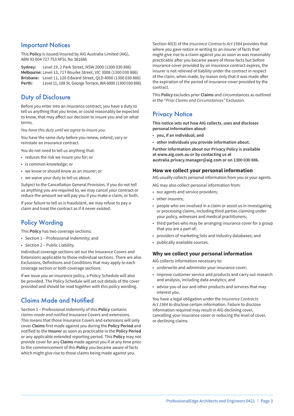### Important Notices

This **Policy** is issued/insured by AIG Australia Limited (AIG), ABN 93 004 727 753 AFSL No 381686

**Sydney:** Level 19, 2 Park Street, NSW 2000 (1300 030 886) **Melbourne:** Level 13, 717 Bourke Street, VIC 3008 (1300 030 886) **Brisbane:** Level 11, 120 Edward Street, QLD 4000 (1300 030 886) **Perth:** Level 11, 108 St. George Terrace, WA 6000 (1300 030 886)

### Duty of Disclosure

Before you enter into an insurance contract, you have a duty to tell us anything that you know, or could reasonably be expected to know, that may affect our decision to insure you and on what terms.

*You have this duty until we agree to insure you.*

You have the same duty before you renew, extend, vary or reinstate an insurance contract.

You do not need to tell us anything that:

- reduces the risk we insure you for; or
- is common knowledge; or
- we know or should know as an insurer; or
- we waive your duty to tell us about.

Subject to the Cancellation General Provision, if you do not tell us anything you are required to, we may cancel your contract or reduce the amount we will pay you if you make a claim, or both.

If your failure to tell us is fraudulent, we may refuse to pay a claim and treat the contract as if it never existed.

# Policy Wording

This **Policy** has two coverage sections:

- Section 1 Professional Indemnity; and
- Section 2 Public Liability.

Individual coverage sections set out the Insurance Covers and Extensions applicable to those individual sections. There are also Exclusions, Definitions and Conditions that may apply to each coverage section or both coverage sections.

If we issue you an insurance policy, a Policy Schedule will also be provided. The Policy Schedule will set out details of the cover provided and should be read together with this policy wording.

# Claims Made and Notified

Section 1 – Professional Indemnity of this **Policy** contains *claims-made and notified* Insurance Covers and extensions. This means that those Insurance Covers and extensions will only cover **Claims** first made against you during the **Policy Period** and notified to the **Insurer** as soon as practicable in the **Policy Period** or any applicable extended reporting period. This **Policy** may not provide cover for any **Claims** made against you if at any time prior to the commencement of this **Policy** you became aware of facts which might give rise to those claims being made against you.

Section 40(3) of the *Insurance Contracts Act 1984* provides that where you gave notice in writing to an insurer of facts that might give rise to a claim against you as soon as was reasonably practicable after you became aware of those facts but before insurance cover provided by an insurance contract expires, the insurer is not relieved of liability under the contract in respect of the claim, when made, by reason only that it was made after the expiration of the period of insurance cover provided by the contract.

This **Policy** excludes prior **Claims** and circumstances as outlined in the *"Prior Claims and Circumstances"* Exclusion.

# **Privacy Notice**

**This notice sets out how AIG collects, uses and discloses personal information about:**

- **you, if an individual; and**
- **other individuals you provide information about.**

**Further information about our Privacy Policy is available at www.aig.com.au or by contacting us at australia.privacy.manager@aig.com or on 1300 030 886.**

#### **How we collect your personal information**

AIG usually collects personal information from you or your agents.

- AIG may also collect personal information from:
- our agents and service providers;
- other insurers;
- people who are involved in a claim or assist us in investigating or processing claims, including third parties claiming under your policy, witnesses and medical practitioners;
- third parties who may be arranging insurance cover for a group that you are a part of;
- providers of marketing lists and industry databases; and
- publically available sources.

#### **Why we collect your personal information**

AIG collects information necessary to:

- underwrite and administer your insurance cover;
- improve customer service and products and carry out research and analysis, including data analytics; and
- advise you of our and other products and services that may interest you.

You have a legal obligation under the *Insurance Contracts Act 1984* to disclose certain information. Failure to disclose information required may result in AIG declining cover, cancelling your insurance cover or reducing the level of cover, or declining claims.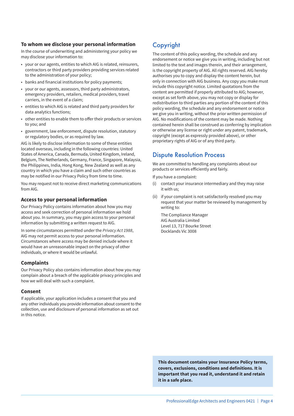#### **To whom we disclose your personal information**

In the course of underwriting and administering your policy we may disclose your information to:

- your or our agents, entities to which AIG is related, reinsurers, contractors or third party providers providing services related to the administration of your policy;
- banks and financial institutions for policy payments;
- your or our agents, assessors, third party administrators, emergency providers, retailers, medical providers, travel carriers, in the event of a claim;
- entities to which AIG is related and third party providers for data analytics functions;
- other entities to enable them to offer their products or services to you; and
- government, law enforcement, dispute resolution, statutory or regulatory bodies, or as required by law.

AIG is likely to disclose information to some of these entities located overseas, including in the following countries: United States of America, Canada, Bermuda, United Kingdom, Ireland, Belgium, The Netherlands, Germany, France, Singapore, Malaysia, the Philippines, India, Hong Kong, New Zealand as well as any country in which you have a claim and such other countries as may be notified in our Privacy Policy from time to time.

You may request not to receive direct marketing communications from AIG.

#### **Access to your personal information**

Our Privacy Policy contains information about how you may access and seek correction of personal information we hold about you. In summary, you may gain access to your personal information by submitting a written request to AIG.

In some circumstances permitted under the *Privacy Act 1988*, AIG may not permit access to your personal information. Circumstances where access may be denied include where it would have an unreasonable impact on the privacy of other individuals, or where it would be unlawful.

#### **Complaints**

Our Privacy Policy also contains information about how you may complain about a breach of the applicable privacy principles and how we will deal with such a complaint.

#### **Consent**

If applicable, your application includes a consent that you and any other individuals you provide information about consent to the collection, use and disclosure of personal information as set out in this notice.

# Copyright

The content of this policy wording, the schedule and any endorsement or notice we give you in writing, including but not limited to the text and images therein, and their arrangement, is the copyright property of AIG. All rights reserved. AIG hereby authorises you to copy and display the content herein, but only in connection with AIG business. Any copy you make must include this copyright notice. Limited quotations from the content are permitted if properly attributed to AIG; however, except as set forth above, you may not copy or display for redistribution to third parties any portion of the content of this policy wording, the schedule and any endorsement or notice we give you in writing, without the prior written permission of AIG. No modifications of the content may be made. Nothing contained herein shall be construed as conferring by implication or otherwise any license or right under any patent, trademark, copyright (except as expressly provided above), or other proprietary rights of AIG or of any third party.

### Dispute Resolution Process

We are committed to handling any complaints about our products or services efficiently and fairly.

If you have a complaint:

- (i) contact your insurance intermediary and they may raise it with us;
- (ii) if your complaint is not satisfactorily resolved you may request that your matter be reviewed by management by writing to:

The Compliance Manager AIG Australia Limited Level 13, 717 Bourke Street Docklands Vic 3008

**This document contains your Insurance Policy terms, covers, exclusions, conditions and definitions. It is important that you read it, understand it and retain it in a safe place.**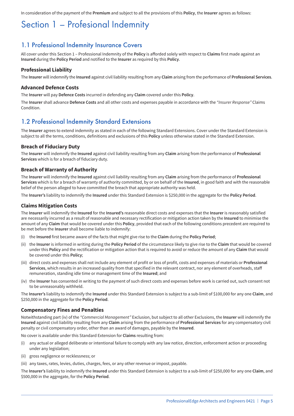In consideration of the payment of the **Premium** and subject to all the provisions of this **Policy**, the **Insurer** agrees as follows:

# Section 1 – Profesional Indemnity

### 1.1 Professional Indemnity Insurance Covers

All cover under this Section 1 – Professional Indemnity of the **Policy** is afforded solely with respect to **Claims** first made against an **Insured** during the **Policy Period** and notified to the **Insurer** as required by this **Policy**.

#### **Professional Liability**

The **Insurer** will indemnify the **Insured** against civil liability resulting from any **Claim** arising from the performance of **Professional Services**.

#### **Advanced Defence Costs**

The **Insurer** will pay **Defence Costs** incurred in defending any **Claim** covered under this **Policy**.

The **Insurer** shall advance **Defence Costs** and all other costs and expenses payable in accordance with the *"Insurer Response"* Claims **Condition** 

### 1.2 Professional Indemnity Standard Extensions

The **Insurer** agrees to extend indemnity as stated in each of the following Standard Extensions. Cover under the Standard Extension is subject to all the terms, conditions, definitions and exclusions of this **Policy** unless otherwise stated in the Standard Extension.

#### **Breach of Fiduciary Duty**

The **Insurer** will indemnify the **Insured** against civil liability resulting from any **Claim** arising from the performance of **Professional Services** which is for a breach of fiduciary duty.

#### **Breach of Warranty of Authority**

The **Insurer** will indemnify the **Insured** against civil liability resulting from any **Claim** arising from the performance of **Professional Services** which is for a breach of warranty of authority committed, by or on behalf of the **Insured**, in good faith and with the reasonable belief of the person alleged to have committed the breach that appropriate authority was held.

The **Insurer's** liability to indemnify the **Insured** under this Standard Extension is \$250,000 in the aggregate for the **Policy Period**.

#### **Claims Mitigation Costs**

The **Insurer** will indemnify the **Insured** for the **Insured's** reasonable direct costs and expenses that the **Insurer** is reasonably satisfied are necessarily incurred as a result of reasonable and necessary rectification or mitigation action taken by the **Insured** to minimise the amount of any **Claim** that would be covered under this **Policy**, provided that each of the following conditions precedent are required to be met before the **Insurer** shall become liable to indemnify:

- (i) the **Insured** first became aware of the facts that might give rise to the **Claim** during the **Policy Period**;
- (ii) the **Insurer** is informed in writing during the **Policy Period** of the circumstance likely to give rise to the **Claim** that would be covered under this **Policy** and the rectification or mitigation action that is required to avoid or reduce the amount of any **Claim** that would be covered under this **Policy**;
- (iii) direct costs and expenses shall not include any element of profit or loss of profit, costs and expenses of materials or **Professional Services**, which results in an increased quality from that specified in the relevant contract, nor any element of overheads, staff remuneration, standing idle time or management time of the **Insured**; and
- (iv) the **Insurer** has consented in writing to the payment of such direct costs and expenses before work is carried out, such consent not to be unreasonably withheld.

The **Insurer's** liability to indemnify the **Insured** under this Standard Extension is subject to a sub-limit of \$100,000 for any one **Claim**, and \$250,000 in the aggregate for the **Policy Period**.

#### **Compensatory Fines and Penalties**

Notwithstanding part (iv) of the *"Commercial Management"* Exclusion, but subject to all other Exclusions, the **Insurer** will indemnify the **Insured** against civil liability resulting from any **Claim** arising from the performance of **Professional Services** for any compensatory civil penalty or civil compensatory order, other than an award of damages, payable by the **Insured**.

No cover is available under this Standard Extension for **Claims** resulting from:

- (i) any actual or alleged deliberate or intentional failure to comply with any law notice, direction, enforcement action or proceeding under any legislation;
- (ii) gross negligence or recklessness; or
- (iii) any taxes, rates, levies, duties, charges, fees, or any other revenue or impost, payable.

The **Insurer's** liability to indemnify the **Insured** under this Standard Extension is subject to a sub-limit of \$250,000 for any one **Claim**, and \$500,000 in the aggregate, for the **Policy Period**.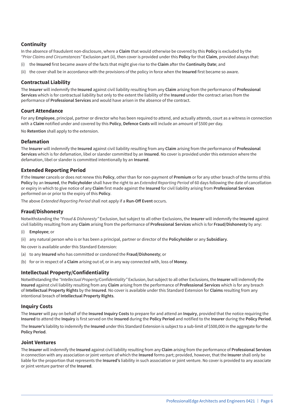#### **Continuity**

In the absence of fraudulent non-disclosure, where a **Claim** that would otherwise be covered by this **Policy** is excluded by the *"Prior Claims and Circumstances"* Exclusion part (ii), then cover is provided under this **Policy** for that **Claim**, provided always that:

- (i) the **Insured** first became aware of the facts that might give rise to the **Claim** after the **Continuity Date**; and
- (ii) the cover shall be in accordance with the provisions of the policy in force when the **Insured** first became so aware.

#### **Contractual Liability**

The **Insurer** will indemnify the **Insured** against civil liability resulting from any **Claim** arising from the performance of **Professional Services** which is for contractual liability but only to the extent the liability of the **Insured** under the contract arises from the performance of **Professional Services** and would have arisen in the absence of the contract.

#### **Court Attendance**

For any **Employee**, principal, partner or director who has been required to attend, and actually attends, court as a witness in connection with a **Claim** notified under and covered by this **Policy**, **Defence Costs** will include an amount of \$500 per day.

No **Retention** shall apply to the extension.

#### **Defamation**

The **Insurer** will indemnify the **Insured** against civil liability resulting from any **Claim** arising from the performance of **Professional Services** which is for defamation, libel or slander committed by an **Insured**. No cover is provided under this extension where the defamation, libel or slander is committed intentionally by an **Insured**.

#### **Extended Reporting Period**

If the **Insurer** cancels or does not renew this **Policy**, other than for non-payment of **Premium** or for any other breach of the terms of this **Policy** by an **Insured**, the **Policyholder** shall have the right to an *Extended Reporting Period* of 60 days following the date of cancellation or expiry in which to give notice of any **Claim** first made against the **Insured** for civil liability arising from **Professional Services** performed on or prior to the expiry of this **Policy**.

The above *Extended Reporting Period* shall not apply if a **Run-Off Event** occurs.

#### **Fraud/Dishonesty**

Notwithstanding the *"Fraud & Dishonesty"* Exclusion, but subject to all other Exclusions, the **Insurer** will indemnify the **Insured** against civil liability resulting from any **Claim** arising from the performance of **Professional Services** which is for **Fraud/Dishonesty** by any:

- (i) **Employee**; or
- (ii) any natural person who is or has been a principal, partner or director of the **Policyholder** or any **Subsidiary**.

No cover is available under this Standard Extension:

- (a) to any **Insured** who has committed or condoned the **Fraud/Dishonesty**; or
- (b) for or in respect of a **Claim** arising out of, or in any way connected with, loss of **Money**.

#### **Intellectual Property/Confidentiality**

Notwithstanding the *"Intellectual Property/Confidentiality"* Exclusion, but subject to all other Exclusions, the **Insurer** will indemnify the **Insured** against civil liability resulting from any **Claim** arising from the performance of **Professional Services** which is for any breach of **Intellectual Property Rights** by the **Insured**. No cover is available under this Standard Extension for **Claims** resulting from any intentional breach of **Intellectual Property Rights**.

#### **Inquiry Costs**

The **Insurer** will pay on behalf of the **Insured Inquiry Costs** to prepare for and attend an **Inquiry**, provided that the notice requiring the **Insured** to attend the **Inquiry** is first served on the **Insured** during the **Policy Period** and notified to the **Insurer** during the **Policy Period**.

The **Insurer's** liability to indemnify the **Insured** under this Standard Extension is subject to a sub-limit of \$500,000 in the aggregate for the **Policy Period**.

#### **Joint Ventures**

The **Insurer** will indemnify the **Insured** against civil liability resulting from any **Claim** arising from the performance of **Professional Services** in connection with any association or joint venture of which the **Insured** forms part; provided, however, that the **Insurer** shall only be liable for the proportion that represents the **Insured's** liability in such association or joint venture. No cover is provided to any associate or joint venture partner of the **Insured**.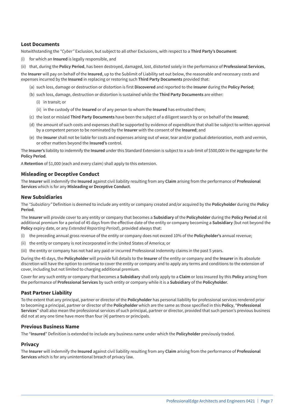#### **Lost Documents**

Notwithstanding the *"Cyber"* Exclusion, but subject to all other Exclusions, with respect to a **Third Party's Document**:

(i) for which an **Insured** is legally responsible, and

(ii) that, during the **Policy Period**, has been destroyed, damaged, lost, distorted solely in the performance of **Professional Services**,

the **Insurer** will pay on behalf of the **Insured**, up to the Sublimit of Liability set out below, the reasonable and necessary costs and expenses incurred by the **Insured** in replacing or restoring such **Third Party Documents** provided that:

- (a) such loss, damage or destruction or distortion is first **Discovered** and reported to the **Insurer** during the **Policy Period**;
- (b) such loss, damage, destruction or distortion is sustained while the **Third Party Documents** are either:
	- (i) in transit; or
	- (ii) in the custody of the **Insured** or of any person to whom the **Insured** has entrusted them;
- (c) the lost or mislaid **Third Party Documents** have been the subject of a diligent search by or on behalf of the **Insured**;
- (d) the amount of such costs and expenses shall be supported by evidence of expenditure that shall be subject to written approval by a competent person to be nominated by the **Insurer** with the consent of the **Insured**; and
- (e) the **Insurer** shall not be liable for costs and expenses arising out of wear, tear and/or gradual deterioration, moth and vermin, or other matters beyond the **Insured's** control.

The **Insurer's** liability to indemnify the **Insured** under this Standard Extension is subject to a sub-limit of \$500,000 in the aggregate for the **Policy Period**.

A **Retention** of \$1,000 (each and every claim) shall apply to this extension.

#### **Misleading or Deceptive Conduct**

The **Insurer** will indemnify the **Insured** against civil liability resulting from any **Claim** arising from the performance of **Professional Services** which is for any **Misleading or Deceptive Conduct**.

#### **New Subsidiaries**

The *"Subsidiary"* Definition is deemed to include any entity or company created and/or acquired by the **Policyholder** during the **Policy Period**.

The **Insurer** will provide cover to any entity or company that becomes a **Subsidiary** of the **Policyholder** during the **Policy Period** at nil additional premium for a period of 45 days from the effective date of the entity or company becoming a **Subsidiary** (but not beyond the **Policy** expiry date, or any *Extended Reporting Period*), provided always that:

- (i) the preceding annual gross revenue of the entity or company does not exceed 10% of the **Policyholder's** annual revenue;
- (ii) the entity or company is not incorporated in the United States of America; or
- (iii) the entity or company has not had any paid or incurred Professional Indemnity claims in the past 5 years.

During the 45 days, the **Policyholder** will provide full details to the **Insurer** of the entity or company and the **Insurer** in its absolute discretion will have the option to continue to cover the entity or company and to apply any terms and conditions to the extension of cover, including but not limited to charging additional premium.

Cover for any such entity or company that becomes a **Subsidiary** shall only apply to a **Claim** or loss insured by this **Policy** arising from the performance of **Professional Services** by such entity or company while it is a **Subsidiary** of the **Policyholder**.

#### **Past Partner Liability**

To the extent that any principal, partner or director of the **Policyholder** has personal liability for professional services rendered prior to becoming a principal, partner or director of the **Policyholder** which are the same as those specified in this **Policy**, "**Professional Services**" shall also mean the professional services of such principal, partner or director, provided that such person's previous business did not at any one time have more than four (4) partners or principals.

#### **Previous Business Name**

The "**Insured**" Definition is extended to include any business name under which the **Policyholder** previously traded.

#### **Privacy**

The **Insurer** will indemnify the **Insured** against civil liability resulting from any **Claim** arising from the performance of **Professional Services** which is for any unintentional breach of privacy law.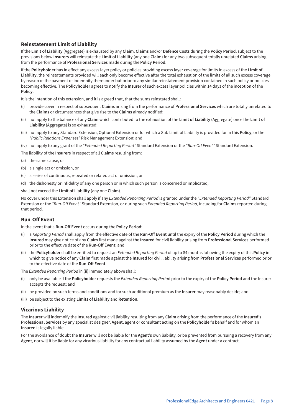#### **Reinstatement Limit of Liability**

If the **Limit of Liability** (Aggregate) is exhausted by any **Claim**, **Claims** and/or **Defence Costs** during the **Policy Period**, subject to the provisions below **Insurers** will reinstate the **Limit of Liability** (any one **Claim**) for any two subsequent totally unrelated **Claims** arising from the performance of **Professional Services** made during the **Policy Period**.

If the **Policyholder** has in effect any excess layer policy or policies providing excess layer coverage for limits in excess of the **Limit of Liability**, the reinstatements provided will each only become effective after the total exhaustion of the limits of all such excess coverage by reason of the payment of indemnity thereunder but prior to any similar reinstatement provision contained in such policy or policies becoming effective. The **Policyholder** agrees to notify the **Insurer** of such excess layer policies within 14 days of the inception of the **Policy**.

It is the intention of this extension, and it is agreed that, that the sums reinstated shall:

- (i) provide cover in respect of subsequent **Claims** arising from the performance of **Professional Services** which are totally unrelated to the **Claims** or circumstances that give rise to the **Claims** already notified;
- (ii) not apply to the balance of any **Claim** which contributed to the exhaustion of the **Limit of Liability** (Aggregate) once the **Limit of Liability** (Aggregate) is so exhausted;
- (iii) not apply to any Standard Extension, Optional Extension or for which a Sub Limit of Liability is provided for in this **Policy**, or the *"Public Relations Expenses"* Risk Management Extension; and
- (iv) not apply to any grant of the *"Extended Reporting Period"* Standard Extension or the *"Run-Off Event"* Standard Extension.

The liability of the **Insurers** in respect of all **Claims** resulting from:

- (a) the same cause, or
- (b) a single act or omission, or
- (c) a series of continuous, repeated or related act or omission, or
- (d) the dishonesty or infidelity of any one person or in which such person is concerned or implicated,

shall not exceed the **Limit of Liability** (any one **Claim**).

No cover under this Extension shall apply if any *Extended Reporting Period* is granted under the *"Extended Reporting Period"* Standard Extension or the *"Run-Off Event"* Standard Extension, or during such *Extended Reporting Period*, including for **Claims** reported during that period.

#### **Run-Off Event**

In the event that a **Run-Off Event** occurs during the **Policy Period**:

- (i) a *Reporting Period* shall apply from the effective date of the **Run-Off Event** until the expiry of the **Policy Period** during which the **Insured** may give notice of any **Claim** first made against the **Insured** for civil liability arising from **Professional Services** performed prior to the effective date of the **Run-Off Event**; and
- (ii) the **Policyholder** shall be entitled to request an *Extended Reporting Period* of up to 84 months following the expiry of this **Policy** in which to give notice of any **Claim** first made against the **Insured** for civil liability arising from **Professional Services** performed prior to the effective date of the **Run-Off Event**.

The *Extended Reporting Period* in (ii) immediately above shall:

- (i) only be available if the **Policyholder** requests the *Extended Reporting Perio*d prior to the expiry of the **Policy Period** and the Insurer accepts the request; and
- (ii) be provided on such terms and conditions and for such additional premium as the **Insurer** may reasonably decide; and
- (iii) be subject to the existing **Limits of Liability** and **Retention**.

#### **Vicarious Liability**

The **Insurer** will indemnify the **Insured** against civil liability resulting from any **Claim** arising from the performance of the **Insured's Professional Services** by any specialist designer, **Agent**, agent or consultant acting on the **Policyholder's** behalf and for whom an **Insured** is legally liable.

For the avoidance of doubt the **Insurer** will not be liable for the **Agent's** own liability, or be prevented from pursuing a recovery from any **Agent**, nor will it be liable for any vicarious liability for any contractual liability assumed by the **Agent** under a contract.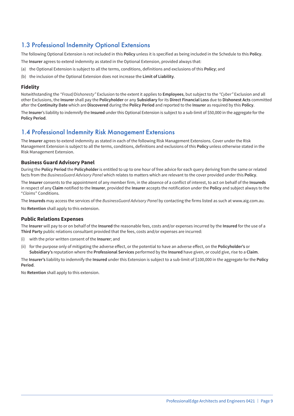### 1.3 Professional Indemnity Optional Extensions

The following Optional Extension is not included in this **Policy** unless it is specified as being included in the Schedule to this **Policy**.

The **Insurer** agrees to extend indemnity as stated in the Optional Extension, provided always that:

- (a) the Optional Extension is subject to all the terms, conditions, definitions and exclusions of this **Policy**; and
- (b) the inclusion of the Optional Extension does not increase the **Limit of Liability**.

#### **Fidelity**

Notwithstanding the *"Fraud/Dishonesty"* Exclusion to the extent it applies to **Employees**, but subject to the *"Cyber"* Exclusion and all other Exclusions, the **Insurer** shall pay the **Policyholder** or any **Subsidiary** for its **Direct Financial Loss** due to **Dishonest Acts** committed after the **Continuity Date** which are **Discovered** during the **Policy Period** and reported to the **Insurer** as required by this **Policy**.

The **Insurer**'s liability to indemnify the **Insured** under this Optional Extension is subject to a sub-limit of \$50,000 in the aggregate for the **Policy Period**.

### 1.4 Professional Indemnity Risk Management Extensions

The **Insurer** agrees to extend indemnity as stated in each of the following Risk Management Extensions. Cover under the Risk Management Extension is subject to all the terms, conditions, definitions and exclusions of this **Policy** unless otherwise stated in the Risk Management Extension.

#### **Business Guard Advisory Panel**

During the **Policy Period** the **Policyholder** is entitled to up to one hour of free advice for each query deriving from the same or related facts from the *BusinessGuard Advisory Panel* which relates to matters which are relevant to the cover provided under this **Policy**.

The **Insurer** consents to the appointment of any member firm, in the absence of a conflict of interest, to act on behalf of the **Insureds** in respect of any **Claim** notified to the **Insurer**, provided the **Insurer** accepts the notification under the **Policy** and subject always to the "*Claims*" Conditions.

The **Insureds** may access the services of the *BusinessGuard Advisory Panel* by contacting the firms listed as such at www.aig.com.au.

No **Retention** shall apply to this extension.

#### **Public Relations Expenses**

The **Insurer** will pay to or on behalf of the **Insured** the reasonable fees, costs and/or expenses incurred by the **Insured** for the use of a **Third Party** public relations consultant provided that the fees, costs and/or expenses are incurred:

- (i) with the prior written consent of the **Insurer**; and
- (ii) for the purpose only of mitigating the adverse effect, or the potential to have an adverse effect, on the **Policyholder's** or **Subsidiary's** reputation where the **Professional Services** performed by the **Insured** have given, or could give, rise to a **Claim**.

The **Insurer's** liability to indemnify the **Insured** under this Extension is subject to a sub-limit of \$100,000 in the aggregate for the **Policy Period**.

No **Retention** shall apply to this extension.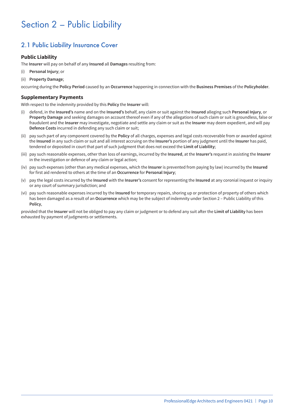# Section 2 – Public Liability

# 2.1 Public Liability Insurance Cover

#### **Public Liability**

The **Insurer** will pay on behalf of any **Insured** all **Damages** resulting from:

- (i) **Personal Injury**; or
- (ii) **Property Damage**;

occurring during the **Policy Period** caused by an **Occurrence** happening in connection with the **Business Premises** of the **Policyholder**.

#### **Supplementary Payments**

With respect to the indemnity provided by this **Policy** the **Insurer** will:

- (i) defend, in the **Insured's** name and on the **Insured's** behalf, any claim or suit against the **Insured** alleging such **Personal Injury**, or **Property Damage** and seeking damages on account thereof even if any of the allegations of such claim or suit is groundless, false or fraudulent and the **Insurer** may investigate, negotiate and settle any claim or suit as the **Insurer** may deem expedient, and will pay **Defence Costs** incurred in defending any such claim or suit;
- (ii) pay such part of any component covered by the **Policy** of all charges, expenses and legal costs recoverable from or awarded against the **Insured** in any such claim or suit and all interest accruing on the **Insurer's** portion of any judgment until the **Insurer** has paid, tendered or deposited in court that part of such judgment that does not exceed the **Limit of Liability**;
- (iii) pay such reasonable expenses, other than loss of earnings, incurred by the **Insured**, at the **Insurer's** request in assisting the **Insurer** in the investigation or defence of any claim or legal action;
- (iv) pay such expenses (other than any medical expenses, which the **Insurer** is prevented from paying by law) incurred by the **Insured** for first aid rendered to others at the time of an **Occurrence** for **Personal Injury**;
- (v) pay the legal costs incurred by the **Insured** with the **Insurer's** consent for representing the **Insured** at any coronial inquest or inquiry or any court of summary jurisdiction; and
- (vi) pay such reasonable expenses incurred by the **Insured** for temporary repairs, shoring up or protection of property of others which has been damaged as a result of an **Occurrence** which may be the subject of indemnity under Section 2 – Public Liability of this **Policy**,

provided that the **Insurer** will not be obliged to pay any claim or judgment or to defend any suit after the **Limit of Liability** has been exhausted by payment of judgments or settlements.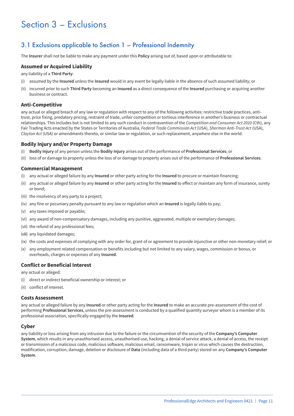# Section 3 – Exclusions

## 3.1 Exclusions applicable to Section 1 – Professional Indemnity

The **Insurer** shall not be liable to make any payment under this **Policy** arising out of, based upon or attributable to:

#### **Assumed or Acquired Liability**

any liability of a **Third Party**:

- (i) assumed by the **Insured** unless the **Insured** would in any event be legally liable in the absence of such assumed liability; or
- (ii) incurred prior to such **Third Party** becoming an **Insured** as a direct consequence of the **Insured** purchasing or acquiring another business or contract.

#### **Anti-Competitive**

any actual or alleged breach of any law or regulation with respect to any of the following activities: restrictive trade practices, antitrust, price fixing, predatory pricing, restraint of trade, unfair competition or tortious interference in another's business or contractual relationships. This includes but is not limited to any such conduct in contravention of the *Competition and Consumer Act 2010* (Cth), any Fair Trading Acts enacted by the States or Territories of Australia, *Federal Trade Commission Act* (USA), *Sherman Anti-Trust Act* (USA), *Clayton Act* (USA) or amendments thereto, or similar law or regulation, or such replacement, anywhere else in the world.

#### **Bodily Injury and/or Property Damage**

- (i) **Bodily Injury** of any person unless the **Bodily Injury** arises out of the performance of **Professional Services**; or
- (ii) loss of or damage to property unless the loss of or damage to property arises out of the performance of **Professional Services**.

#### **Commercial Management**

- (i) any actual or alleged failure by any **Insured** or other party acting for the **Insured** to procure or maintain financing;
- (ii) any actual or alleged failure by any **Insured** or other party acting for the **Insured** to effect or maintain any form of insurance, surety or bond;
- (iii) the insolvency of any party to a project;
- (iv) any fine or pecuniary penalty pursuant to any law or regulation which an **Insured** is legally liable to pay;
- (v) any taxes imposed or payable;
- (vi) any award of non-compensatory damages, including any punitive, aggravated, multiple or exemplary damages;
- (vii) the refund of any professional fees;
- (viii) any liquidated damages;
- (ix) the costs and expenses of complying with any order for, grant of or agreement to provide injunctive or other non-monetary relief; or
- (x) any employment related compensation or benefits including but not limited to any salary, wages, commission or bonus, or overheads, charges or expenses of any **Insured**.

#### **Conflict or Beneficial Interest**

any actual or alleged:

- (i) direct or indirect beneficial ownership or interest; or
- (ii) conflict of interest.

#### **Costs Assessment**

any actual or alleged failure by any **Insured** or other party acting for the **Insured** to make an accurate pre-assessment of the cost of performing **Professional Services**, unless the pre-assessment is conducted by a qualified quantity surveyor whom is a member of its professional association, specifically engaged by the **Insured**.

#### **Cyber**

any liability or loss arising from any intrusion due to the failure or the circumvention of the security of the **Company's Computer System**, which results in any unauthorised access, unauthorised use, hacking, a denial of service attack, a denial of access, the receipt or transmission of a malicious code, malicious software, malicious email, ransomware, trojan or virus which causes the destruction, modification, corruption, damage, deletion or disclosure of **Data** (including data of a third party) stored on any **Company's Computer System**.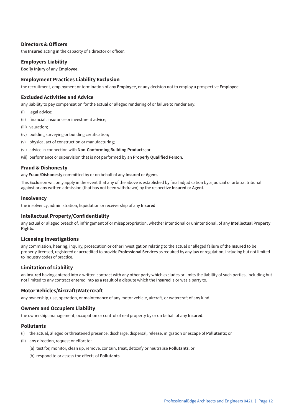#### **Directors & Officers**

the **Insured** acting in the capacity of a director or officer.

#### **Employers Liability**

**Bodily Injury** of any **Employee**.

#### **Employment Practices Liability Exclusion**

the recruitment, employment or termination of any **Employee**, or any decision not to employ a prospective **Employee**.

#### **Excluded Activities and Advice**

any liability to pay compensation for the actual or alleged rendering of or failure to render any:

- (i) legal advice;
- (ii) financial, insurance or investment advice;
- (iii) valuation;
- (iv) building surveying or building certification;
- (v) physical act of construction or manufacturing;
- (vi) advice in connection with **Non-Conforming Building Products**; or
- (vii) performance or supervision that is not performed by an **Properly Qualified Person**.

#### **Fraud & Dishonesty**

any **Fraud/Dishonesty** committed by or on behalf of any **Insured** or **Agent**.

This Exclusion will only apply in the event that any of the above is established by final adjudication by a judicial or arbitral tribunal against or any written admission (that has not been withdrawn) by the respective **Insured** or **Agent**.

#### **Insolvency**

the insolvency, administration, liquidation or receivership of any **Insured**.

#### **Intellectual Property/Confidentiality**

any actual or alleged breach of, infringement of or misappropriation, whether intentional or unintentional, of any **Intellectual Property Rights**.

#### **Licensing Investigations**

any commission, hearing, inquiry, prosecution or other investigation relating to the actual or alleged failure of the **Insured** to be properly licensed, registered or accredited to provide **Professional Services** as required by any law or regulation, including but not limited to industry codes of practice.

#### **Limitation of Liability**

an **Insured** having entered into a written contract with any other party which excludes or limits the liability of such parties, including but not limited to any contract entered into as a result of a dispute which the **Insured** is or was a party to.

#### **Motor Vehicles/Aircraft/Watercraft**

any ownership, use, operation, or maintenance of any motor vehicle, aircraft, or watercraft of any kind.

#### **Owners and Occupiers Liability**

the ownership, management, occupation or control of real property by or on behalf of any **Insured**.

#### **Pollutants**

- (i) the actual, alleged or threatened presence, discharge, dispersal, release, migration or escape of **Pollutants**; or
- (ii) any direction, request or effort to:
	- (a) test for, monitor, clean up, remove, contain, treat, detoxify or neutralise **Pollutants**; or
	- (b) respond to or assess the effects of **Pollutants**.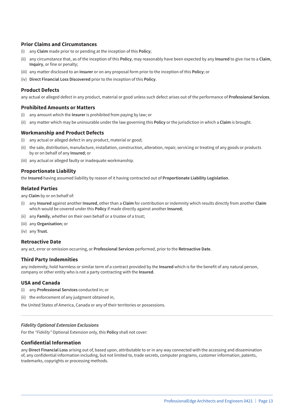#### **Prior Claims and Circumstances**

- (i) any **Claim** made prior to or pending at the inception of this **Policy**;
- (ii) any circumstance that, as of the inception of this **Policy**, may reasonably have been expected by any **Insured** to give rise to a **Claim**, **Inquiry**, or fine or penalty;
- (iii) any matter disclosed to an **Insurer** or on any proposal form prior to the inception of this **Policy**; or
- (iv) **Direct Financial Loss Discovered** prior to the inception of this **Policy**.

#### **Product Defects**

any actual or alleged defect in any product, material or good unless such defect arises out of the performance of **Professional Services**.

#### **Prohibited Amounts or Matters**

- (i) any amount which the **Insurer** is prohibited from paying by law; or
- (ii) any matter which may be uninsurable under the law governing this **Policy** or the jurisdiction in which a **Claim** is brought.

#### **Workmanship and Product Defects**

- (i) any actual or alleged defect in any product, material or good;
- (ii) the sale, distribution, manufacture, installation, construction, alteration, repair, servicing or treating of any goods or products by or on behalf of any **Insured**; or
- (iii) any actual or alleged faulty or inadequate workmanship.

#### **Proportionate Liability**

the **Insured** having assumed liability by reason of it having contracted out of **Proportionate Liability Legislation**.

#### **Related Parties**

any **Claim** by or on behalf of:

- (i) any **Insured** against another **Insured**, other than a **Claim** for contribution or indemnity which results directly from another **Claim** which would be covered under this **Policy** if made directly against another **Insured**;
- (ii) any **Family**, whether on their own behalf or a trustee of a trust;
- (iii) any **Organisation**; or
- (iv) any **Trust**.

#### **Retroactive Date**

any act, error or omission occurring, or **Professional Services** performed, prior to the **Retroactive Date**.

#### **Third Party Indemnities**

any indemnity, hold harmless or similar term of a contract provided by the **Insured** which is for the benefit of any natural person, company or other entity who is not a party contracting with the **Insured**.

#### **USA and Canada**

- (i) any **Professional Services** conducted in; or
- (ii) the enforcement of any judgment obtained in,

the United States of America, Canada or any of their territories or possessions.

#### *Fidelity Optional Extension Exclusions*

For the *"Fidelity"* Optional Extension only, this **Policy** shall not cover:

#### **Confidential Information**

any **Direct Financial Loss** arising out of, based upon, attributable to or in any way connected with the accessing and dissemination of, any confidential information including, but not limited to, trade secrets, computer programs, customer information, patents, trademarks, copyrights or processing methods.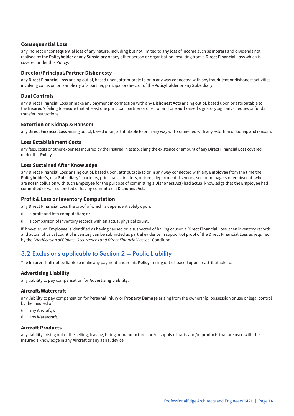#### **Consequential Loss**

any indirect or consequential loss of any nature, including but not limited to any loss of income such as interest and dividends not realised by the **Policyholder** or any **Subsidiary** or any other person or organisation, resulting from a **Direct Financial Loss** which is covered under this **Policy**.

#### **Director/Principal/Partner Dishonesty**

any **Direct Financial Loss** arising out of, based upon, attributable to or in any way connected with any fraudulent or dishonest activities involving collusion or complicity of a partner, principal or director of the **Policyholder** or any **Subsidiary**.

#### **Dual Controls**

any **Direct Financial Loss** or make any payment in connection with any **Dishonest Acts** arising out of, based upon or attributable to the **Insured's** failing to ensure that at least one principal, partner or director and one authorised signatory sign any cheques or funds transfer instructions.

#### **Extortion or Kidnap & Ransom**

any **Direct Financial Loss** arising out of, based upon, attributable to or in any way with connected with any extortion or kidnap and ransom.

#### **Loss Establishment Costs**

any fees, costs or other expenses incurred by the **Insured** in establishing the existence or amount of any **Direct Financial Loss** covered under this **Policy**.

#### **Loss Sustained After Knowledge**

any **Direct Financial Loss** arising out of, based upon, attributable to or in any way connected with any **Employee** from the time the **Policyholder's**, or a **Subsidiary's** partners, principals, directors, officers, departmental seniors, senior managers or equivalent (who are not in collusion with such **Employee** for the purpose of committing a **Dishonest Act**) had actual knowledge that the **Employee** had committed or was suspected of having committed a **Dishonest Act**.

#### **Profit & Loss or Inventory Computation**

any **Direct Financial Loss** the proof of which is dependent solely upon:

- (i) a profit and loss computation; or
- (ii) a comparison of inventory records with an actual physical count.

If, however, an **Employee** is identified as having caused or is suspected of having caused a **Direct Financial Loss**, then inventory records and actual physical count of inventory can be submitted as partial evidence in support of proof of the **Direct Financial Loss** as required by the *"Notification of Claims, Occurrences and Direct Financial Losses"* Condition.

### 3.2 Exclusions applicable to Section 2 – Public Liability

The **Insurer** shall not be liable to make any payment under this **Policy** arising out of, based upon or attributable to:

#### **Advertising Liability**

any liability to pay compensation for **Advertising Liability**.

#### **Aircraft/Watercraft**

any liability to pay compensation for **Personal Injury** or **Property Damage** arising from the ownership, possession or use or legal control by the **Insured** of:

- (i) any **Aircraft**; or
- (ii) any **Watercraft**.

#### **Aircraft Products**

any liability arising out of the selling, leasing, hiring or manufacture and/or supply of parts and/or products that are used with the **Insured's** knowledge in any **Aircraft** or any aerial device.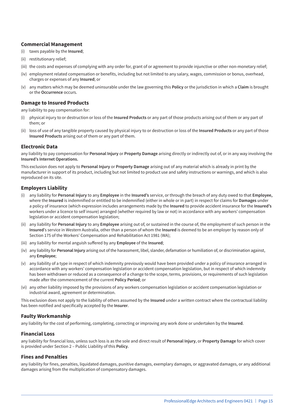#### **Commercial Management**

- (i) taxes payable by the **Insured**;
- (ii) restitutionary relief;
- (iii) the costs and expenses of complying with any order for, grant of or agreement to provide injunctive or other non-monetary relief;
- (iv) employment related compensation or benefits, including but not limited to any salary, wages, commission or bonus, overhead, charges or expenses of any **Insured**; or
- (v) any matters which may be deemed uninsurable under the law governing this **Policy** or the jurisdiction in which a **Claim** is brought or the **Occurrence** occurs.

#### **Damage to Insured Products**

any liability to pay compensation for:

- (i) physical injury to or destruction or loss of the **Insured Products** or any part of those products arising out of them or any part of them; or
- (ii) loss of use of any tangible property caused by physical injury to or destruction or loss of the **Insured Products** or any part of those **Insured Products** arising out of them or any part of them.

#### **Electronic Data**

any liability to pay compensation for **Personal Injury** or **Property Damage** arising directly or indirectly out of, or in any way involving the **Insured's Internet Operations.**

This exclusion does not apply to **Personal Injury** or **Property Damage** arising out of any material which is already in print by the manufacturer in support of its product, including but not limited to product use and safety instructions or warnings, and which is also reproduced on its site.

#### **Employers Liability**

- (i) any liability for **Personal Injury** to any **Employee** in the **Insured's** service, or through the breach of any duty owed to that **Employee,** where the **Insured** is indemnified or entitled to be indemnified (either in whole or in part) in respect for claims for **Damages** under a policy of insurance (which expression includes arrangements made by the **Insured** to provide accident insurance for the **Insured's** workers under a licence to self insure) arranged (whether required by law or not) in accordance with any workers' compensation legislation or accident compensation legislation;
- (ii) any liability for **Personal Injury** to any **Employee** arising out of, or sustained in the course of, the employment of such person in the **Insured**'s service in Western Australia, other than a person of whom the **Insured** is deemed to be an employer by reason only of Section 175 of the Workers' Compensation and Rehabilitation Act 1981 (WA);
- (iii) any liability for mental anguish suffered by any **Employee** of the **Insured**;
- (iv) any liability for **Personal Injury** arising out of the harassment, libel, slander, defamation or humiliation of, or discrimination against, any **Employee**;
- (v) any liability of a type in respect of which indemnity previously would have been provided under a policy of insurance arranged in accordance with any workers' compensation legislation or accident compensation legislation, but in respect of which indemnity has been withdrawn or reduced as a consequence of a change to the scope, terms, provisions, or requirements of such legislation made after the commencement of the current **Policy Period**; or
- (vi) any other liability imposed by the provisions of any workers compensation legislation or accident compensation legislation or industrial award, agreement or determination.

This exclusion does not apply to the liability of others assumed by the **Insured** under a written contract where the contractual liability has been notified and specifically accepted by the **Insurer**.

#### **Faulty Workmanship**

any liability for the cost of performing, completing, correcting or improving any work done or undertaken by the **Insured**.

#### **Financial Loss**

any liability for financial loss, unless such loss is as the sole and direct result of **Personal Injury**, or **Property Damage** for which cover is provided under Section 2 – Public Liability of this **Policy**.

#### **Fines and Penalties**

any liability for fines, penalties, liquidated damages, punitive damages, exemplary damages, or aggravated damages, or any additional damages arising from the multiplication of compensatory damages.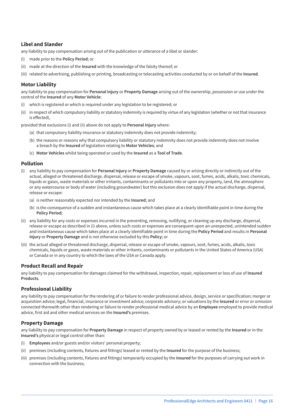#### **Libel and Slander**

any liability to pay compensation arising out of the publication or utterance of a libel or slander:

- (i) made prior to the **Policy Period**; or
- (ii) made at the direction of the **Insured** with the knowledge of the falsity thereof; or
- (iii) related to advertising, publishing or printing, broadcasting or telecasting activities conducted by or on behalf of the **Insured**.

#### **Motor Liability**

any liability to pay compensation for **Personal Injury** or **Property Damage** arising out of the ownership, possession or use under the control of the **Insured** of any **Motor Vehicle**:

- which is registered or which is required under any legislation to be registered; or
- (ii) in respect of which compulsory liability or statutory indemnity is required by virtue of any legislation (whether or not that insurance is effected),

provided that exclusions (i) and (ii) above do not apply to **Personal Injury** where:

- (a) that compulsory liability insurance or statutory indemnity does not provide indemnity;
- (b) the reasons or reasons why that compulsory liability or statutory indemnity does not provide indemnity does not involve a breach by the **Insured** of legislation relating to **Motor Vehicles**; and
- (c) **Motor Vehicles** whilst being operated or used by the **Insured** as a **Tool of Trade**.

#### **Pollution**

- (i) any liability to pay compensation for **Personal Injury** or **Property Damage** caused by or arising directly or indirectly out of the actual, alleged or threatened discharge, dispersal, release or escape of smoke, vapours, soot, fumes, acids, alkalis, toxic chemicals, liquids or gases, waste materials or other irritants, contaminants or pollutants into or upon any property, land, the atmosphere or any watercourse or body of water (including groundwater) but this exclusion does not apply if the actual discharge, dispersal, release or escape:
	- (a) is neither reasonably expected nor intended by the **Insured**; and
	- (b) is the consequence of a sudden and instantaneous cause which takes place at a clearly identifiable point in time during the **Policy Period**;
- (ii) any liability for any costs or expenses incurred in the preventing, removing, nullifying, or cleaning up any discharge, dispersal, release or escape as described in (i) above, unless such costs or expenses are consequent upon an unexpected, unintended sudden and instantaneous cause which takes place at a clearly identifiable point in time during the **Policy Period** and results in **Personal Injury** or **Property Damage** and is not otherwise excluded by this **Policy**; or
- (iii) the actual alleged or threatened discharge, dispersal, release or escape of smoke, vapours, soot, fumes, acids, alkalis, toxic chemicals, liquids or gases, waste materials or other irritants, contaminants or pollutants in the United States of America (USA) or Canada or in any country to which the laws of the USA or Canada apply.

#### **Product Recall and Repair**

any liability to pay compensation for damages claimed for the withdrawal, inspection, repair, replacement or loss of use of **Insured Products**.

#### **Professional Liability**

any liability to pay compensation for the rendering of or failure to render professional advice, design, service or specification; merger or acquisition advice; legal, financial, insurance or investment advice; corporate advisory; or valuations by the **Insured** or error or omission connected therewith other than rendering or failure to render professional medical advice by an **Employee** employed to provide medical advice, first aid and other medical services on the **Insured's** premises.

#### **Property Damage**

any liability to pay compensation for **Property Damage** in respect of property owned by or leased or rented by the **Insured** or in the **Insured's** physical or legal control other than:

- (i) **Employees** and/or guests and/or visitors' personal property;
- (ii) premises (including contents, fixtures and fittings) leased or rented by the **Insured** for the purpose of the business;
- (iii) premises (including contents, fixtures and fittings) temporarily occupied by the **Insured** for the purposes of carrying out work in connection with the business;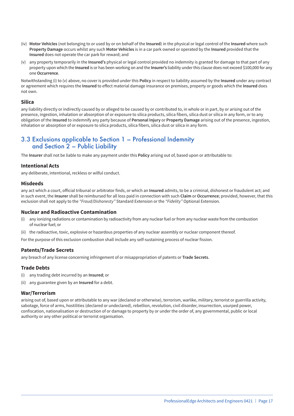- (iv) **Motor Vehicles** (not belonging to or used by or on behalf of the **Insured**) in the physical or legal control of the **Insured** where such **Property Damage** occurs whilst any such **Motor Vehicles** is in a car park owned or operated by the **Insured** provided that the **Insured** does not operate the car park for reward; and
- (v) any property temporarily in the **Insured's** physical or legal control provided no indemnity is granted for damage to that part of any property upon which the **Insured** is or has been working on and the **Insurer's** liability under this clause does not exceed \$100,000 for any one **Occurrence**.

Notwithstanding (i) to (v) above, no cover is provided under this **Policy** in respect to liability assumed by the **Insured** under any contract or agreement which requires the **Insured** to effect material damage insurance on premises, property or goods which the **Insured** does not own.

#### **Silica**

any liability directly or indirectly caused by or alleged to be caused by or contributed to, in whole or in part, by or arising out of the presence, ingestion, inhalation or absorption of or exposure to silica products, silica fibers, silica dust or silica in any form, or to any obligation of the **Insured** to indemnify any party because of **Personal Injury** or **Property Damage** arising out of the presence, ingestion, inhalation or absorption of or exposure to silica products, silica fibers, silica dust or silica in any form.

### 3.3 Exclusions applicable to Section 1 – Professional Indemnity and Section 2 – Public Liability

The **Insurer** shall not be liable to make any payment under this **Policy** arising out of, based upon or attributable to:

#### **Intentional Acts**

any deliberate, intentional, reckless or wilful conduct.

#### **Misdeeds**

any act which a court, official tribunal or arbitrator finds, or which an **Insured** admits, to be a criminal, dishonest or fraudulent act; and in such event, the **Insurer** shall be reimbursed for all loss paid in connection with such **Claim** or **Occurrence**; provided, however, that this exclusion shall not apply to the *"Fraud/Dishonesty"* Standard Extension or the *"Fidelity"* Optional Extension.

#### **Nuclear and Radioactive Contamination**

- (i) any ionizing radiations or contamination by radioactivity from any nuclear fuel or from any nuclear waste from the combustion of nuclear fuel; or
- (ii) the radioactive, toxic, explosive or hazardous properties of any nuclear assembly or nuclear component thereof.

For the purpose of this exclusion combustion shall include any self-sustaining process of nuclear fission.

#### **Patents/Trade Secrets**

any breach of any license concerning infringement of or misappropriation of patents or **Trade Secrets**.

#### **Trade Debts**

- (i) any trading debt incurred by an **Insured**; or
- (ii) any guarantee given by an **Insured** for a debt.

#### **War/Terrorism**

arising out of, based upon or attributable to any war (declared or otherwise), terrorism, warlike, military, terrorist or guerrilla activity, sabotage, force of arms, hostilities (declared or undeclared), rebellion, revolution, civil disorder, insurrection, usurped power, confiscation, nationalisation or destruction of or damage to property by or under the order of, any governmental, public or local authority or any other political or terrorist organisation.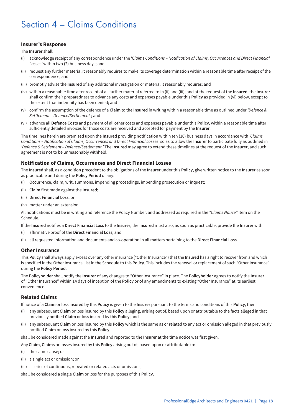# Section 4 – Claims Conditions

#### **Insurer's Response**

The **Insurer** shall:

- (i) acknowledge receipt of any correspondence under the '*Claims Conditions Notification of Claims, Occurrences and Direct Financial Losses'* within two (2) business days; and
- (ii) request any further material it reasonably requires to make its coverage determination within a reasonable time after receipt of the correspondence; and
- (iii) promptly advise the **Insured** of any additional investigation or material it reasonably requires; and
- (iv) within a reasonable time after receipt of all further material referred to in (ii) and (iii); and at the request of the **Insured**, the **Insurer** shall confirm their preparedness to advance any costs and expenses payable under this **Policy** as provided in (vi) below, except to the extent that indemnity has been denied; and
- (v) confirm the assumption of the defence of a **Claim** to the **Insured** in writing within a reasonable time as outlined under *'Defence & Settlement – Defence/Settlement'*; and
- (vi) advance all **Defence Costs** and payment of all other costs and expenses payable under this **Policy**, within a reasonable time after sufficiently detailed invoices for those costs are received and accepted for payment by the **Insurer**.

The timelines herein are premised upon the **Insured** providing notification within ten (10) business days in accordance with *'Claims Conditions – Notification of Claims, Occurrences and Direct Financial Losses'* so as to allow the **Insurer** to participate fully as outlined in *'Defence & Settlement – Defence/Settlement.'* The **Insured** may agree to extend these timelines at the request of the **Insurer**, and such agreement is not to be unreasonably withheld.

#### **Notification of Claims, Occurrences and Direct Financial Losses**

The **Insured** shall, as a condition precedent to the obligations of the **Insurer** under this **Policy**, give written notice to the **Insurer** as soon as practicable and during the **Policy Period** of any:

- (i) **Occurrence**, claim, writ, summons, impending proceedings, impending prosecution or inquest;
- (ii) **Claim** first made against the **Insured**;
- (iii) **Direct Financial Loss**; or
- (iv) matter under an extension.

All notifications must be in writing and reference the Policy Number, and addressed as required in the *"Claims Notice"* Item on the Schedule.

If the **Insured** notifies a **Direct Financial Loss** to the **Insurer**, the **Insured** must also, as soon as practicable, provide the **Insurer** with:

- (i) affirmative proof of the **Direct Financial Loss**; and
- (ii) all requested information and documents and co-operation in all matters pertaining to the **Direct Financial Loss**.

#### **Other Insurance**

This **Policy** shall always apply excess over any other insurance ("Other Insurance") that the **Insured** has a right to recover from and which is specified in the Other Insurance List in the Schedule to this **Policy**. This includes the renewal or replacement of such "Other Insurance" during the **Policy Period**.

The **Policyholder** shall notify the **Insurer** of any changes to "Other Insurance" in place. The **Policyholder** agrees to notify the **Insurer** of "Other Insurance" within 14 days of inception of the **Policy** or of any amendments to existing "Other Insurance" at its earliest convenience.

#### **Related Claims**

If notice of a **Claim** or loss insured by this **Policy** is given to the **Insurer** pursuant to the terms and conditions of this **Policy**, then:

- (i) any subsequent **Claim** or loss insured by this **Policy** alleging, arising out of, based upon or attributable to the facts alleged in that previously notified **Claim** or loss insured by this **Policy**; and
- (ii) any subsequent **Claim** or loss insured by this **Policy** which is the same as or related to any act or omission alleged in that previously notified **Claim** or loss insured by this **Policy**,

shall be considered made against the **Insured** and reported to the **Insurer** at the time notice was first given.

- Any **Claim**, **Claims** or losses insured by this **Policy** arising out of, based upon or attributable to:
- (i) the same cause; or
- (ii) a single act or omission; or
- (iii) a series of continuous, repeated or related acts or omissions,

shall be considered a single **Claim** or loss for the purposes of this **Policy**.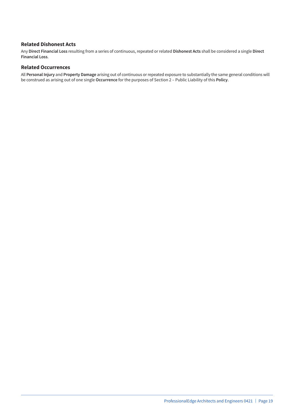#### **Related Dishonest Acts**

Any **Direct Financial Loss** resulting from a series of continuous, repeated or related **Dishonest Acts** shall be considered a single **Direct Financial Loss**.

#### **Related Occurrences**

All **Personal Injury** and **Property Damage** arising out of continuous or repeated exposure to substantially the same general conditions will be construed as arising out of one single **Occurrence** for the purposes of Section 2 – Public Liability of this **Policy**.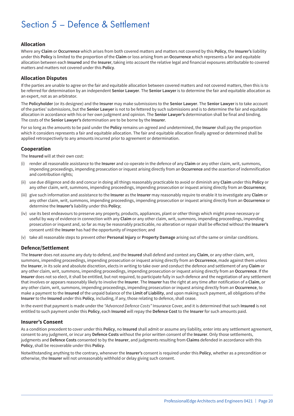# Section 5 – Defence & Settlement

#### **Allocation**

Where any **Claim** or **Occurrence** which arises from both covered matters and matters not covered by this **Policy**, the **Insurer's** liability under this **Policy** is limited to the proportion of the **Claim** or loss arising from an **Occurrence** which represents a fair and equitable allocation between each **Insured** and the **Insurer**, taking into account the relative legal and financial exposures attributable to covered matters and matters not covered under this **Policy**.

#### **Allocation Disputes**

If the parties are unable to agree on the fair and equitable allocation between covered matters and not covered matters, then this is to be referred for determination by an independent **Senior Lawyer**. The **Senior Lawyer** is to determine the fair and equitable allocation as an expert, not as an arbitrator.

The **Policyholder** (or its designee) and the **Insurer** may make submissions to the **Senior Lawyer**. The **Senior Lawyer** is to take account of the parties' submissions, but the **Senior Lawyer** is not to be fettered by such submissions and is to determine the fair and equitable allocation in accordance with his or her own judgment and opinion. The **Senior Lawyer's** determination shall be final and binding. The costs of the **Senior Lawyer's** determination are to be borne by the **Insurer**.

For so long as the amounts to be paid under the **Policy** remains un-agreed and undetermined, the **Insurer** shall pay the proportion which it considers represents a fair and equitable allocation. The fair and equitable allocation finally agreed or determined shall be applied retrospectively to any amounts incurred prior to agreement or determination.

#### **Cooperation**

The **Insured** will at their own cost:

- (i) render all reasonable assistance to the **Insurer** and co-operate in the defence of any **Claim** or any other claim, writ, summons, impending proceedings, impending prosecution or inquest arising directly from an **Occurrence** and the assertion of indemnification and contribution rights;
- (ii) use due diligence and do and concur in doing all things reasonably practicable to avoid or diminish any **Claim** under this **Policy** or any other claim, writ, summons, impending proceedings, impending prosecution or inquest arising directly from an **Occurrence**;
- (iii) give such information and assistance to the **Insurer** as the **Insurer** may reasonably require to enable it to investigate any **Claim** or any other claim, writ, summons, impending proceedings, impending prosecution or inquest arising directly from an **Occurrence** or determine the **Insurer's** liability under this **Policy**;
- (iv) use its best endeavours to preserve any property, products, appliances, plant or other things which might prove necessary or useful by way of evidence in connection with any **Claim** or any other claim, writ, summons, impending proceedings, impending prosecution or inquest and, so far as may be reasonably practicable, no alteration or repair shall be effected without the **Insurer's** consent until the **Insurer** has had the opportunity of inspection; and
- (v) take all reasonable steps to prevent other **Personal Injury** or **Property Damage** arising out of the same or similar conditions.

#### **Defence/Settlement**

The **Insurer** does not assume any duty to defend, and the **Insured** shall defend and contest any **Claim**, or any other claim, writ, summons, impending proceedings, impending prosecution or inquest arising directly from an **Occurrence**, made against them unless the **Insurer**, in its sole and absolute discretion, elects in writing to take over and conduct the defence and settlement of any **Claim** or any other claim, writ, summons, impending proceedings, impending prosecution or inquest arising directly from an **Occurrence**. If the **Insurer** does not so elect, it shall be entitled, but not required, to participate fully in such defence and the negotiation of any settlement that involves or appears reasonably likely to involve the **Insurer**. The **Insurer** has the right at any time after notification of a **Claim**, or any other claim, writ, summons, impending proceedings, impending prosecution or inquest arising directly from an **Occurrence**, to make a payment to the **Insured** of the unpaid balance of the **Limit of Liability**, and upon making such payment, all obligations of the **Insurer** to the **Insured** under this **Policy**, including, if any, those relating to defence, shall cease.

In the event that payment is made under the *"Advanced Defence Costs"* Insurance Cover, and it is determined that such **Insured** is not entitled to such payment under this **Policy**, each **Insured** will repay the **Defence Cost** to the **Insurer** for such amounts paid.

#### **Insurer's Consent**

As a condition precedent to cover under this **Policy**, no **Insured** shall admit or assume any liability, enter into any settlement agreement, consent to any judgment, or incur any **Defence Costs** without the prior written consent of the **Insurer**. Only those settlements, judgments and **Defence Costs** consented to by the **Insurer**, and judgments resulting from **Claims** defended in accordance with this **Policy**, shall be recoverable under this **Policy**.

Notwithstanding anything to the contrary, whenever the **Insurer's** consent is required under this **Policy**, whether as a precondition or otherwise, the **Insurer** will not unreasonably withhold or delay giving such consent.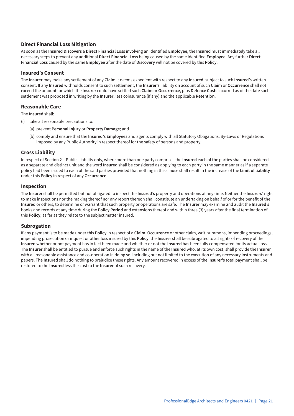#### **Direct Financial Loss Mitigation**

As soon as the **Insured Discovers** a **Direct Financial Loss** involving an identified **Employee**, the **Insured** must immediately take all necessary steps to prevent any additional **Direct Financial Loss** being caused by the same identified **Employee**. Any further **Direct Financial Loss** caused by the same **Employee** after the date of **Discovery** will not be covered by this **Policy**.

#### **Insured's Consent**

The **Insurer** may make any settlement of any **Claim** it deems expedient with respect to any **Insured**, subject to such **Insured's** written consent. If any **Insured** withholds consent to such settlement, the **Insurer's** liability on account of such **Claim** or **Occurrence** shall not exceed the amount for which the **Insurer** could have settled such **Claim** or **Occurrence**, plus **Defence Costs** incurred as of the date such settlement was proposed in writing by the **Insurer**, less coinsurance (if any) and the applicable **Retention**.

#### **Reasonable Care**

The **Insured** shall:

- (i) take all reasonable precautions to:
	- (a) prevent **Personal Injury** or **Property Damage**; and
	- (b) comply and ensure that the **Insured's Employees** and agents comply with all Statutory Obligations, By-Laws or Regulations imposed by any Public Authority in respect thereof for the safety of persons and property.

#### **Cross Liability**

In respect of Section 2 – Public Liability only, where more than one party comprises the **Insured** each of the parties shall be considered as a separate and distinct unit and the word **Insured** shall be considered as applying to each party in the same manner as if a separate policy had been issued to each of the said parties provided that nothing in this clause shall result in the increase of the **Limit of liability** under this **Policy** in respect of any **Occurrence**.

#### **Inspection**

The **Insurer** shall be permitted but not obligated to inspect the **Insured's** property and operations at any time. Neither the **Insurers'** right to make inspections nor the making thereof nor any report thereon shall constitute an undertaking on behalf of or for the benefit of the **Insured** or others, to determine or warrant that such property or operations are safe. The **Insurer** may examine and audit the **Insured's** books and records at any time during the **Policy Period** and extensions thereof and within three (3) years after the final termination of this **Policy**, as far as they relate to the subject matter insured.

#### **Subrogation**

If any payment is to be made under this **Policy** in respect of a **Claim**, **Occurrence** or other claim, writ, summons, impending proceedings, impending prosecution or inquest or other loss insured by this **Policy**, the **Insurer** shall be subrogated to all rights of recovery of the **Insured** whether or not payment has in fact been made and whether or not the **Insured** has been fully compensated for its actual loss. The **Insurer** shall be entitled to pursue and enforce such rights in the name of the **Insured** who, at its own cost, shall provide the **Insurer** with all reasonable assistance and co-operation in doing so, including but not limited to the execution of any necessary instruments and papers. The **Insured** shall do nothing to prejudice these rights. Any amount recovered in excess of the **Insurer's** total payment shall be restored to the **Insured** less the cost to the **Insurer** of such recovery.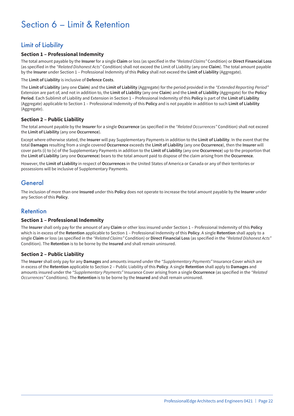# Section 6 – Limit & Retention

# Limit of Liability

#### **Section 1 – Professional Indemnity**

The total amount payable by the **Insurer** for a single **Claim** or loss (as specified in the *"Related Claims"* Condition) or **Direct Financial Loss** (as specified in the *"Related Dishonest Acts"* Condition) shall not exceed the Limit of Liability (any one **Claim**). The total amount payable by the **Insurer** under Section 1 – Professional Indemnity of this **Policy** shall not exceed the **Limit of Liability** (Aggregate).

The **Limit of Liability** is inclusive of **Defence Costs**.

The **Limit of Liability** (any one **Claim**) and the **Limit of Liability** (Aggregate) for the period provided in the *"Extended Reporting Period"* Extension are part of, and not in addition to, the **Limit of Liability** (any one **Claim**) and the **Limit of Liability** (Aggregate) for the **Policy Period**. Each Sublimit of Liability and Extension in Section 1 – Professional Indemnity of this **Policy** is part of the **Limit of Liability** (Aggregate) applicable to Section 1 – Professional Indemnity of this **Policy** and is not payable in addition to such **Limit of Liability** (Aggregate).

#### **Section 2 – Public Liability**

The total amount payable by the **Insurer** for a single **Occurrence** (as specified in the *"Related Occurrences"* Condition) shall not exceed the **Limit of Liability** (any one **Occurrence**).

Except where otherwise stated, the **Insurer** will pay Supplementary Payments in addition to the **Limit of Liability**. In the event that the total **Damages** resulting from a single covered **Occurrence** exceeds the **Limit of Liability** (any one **Occurrence**), then the **Insurer** will cover parts (i) to (v) of the Supplementary Payments in addition to the **Limit of Liability** (any one **Occurrence**) up to the proportion that the **Limit of Liability** (any one **Occurrence**) bears to the total amount paid to dispose of the claim arising from the **Occurrence**.

However, the **Limit of Liability** in respect of **Occurrences** in the United States of America or Canada or any of their territories or possessions will be inclusive of Supplementary Payments.

### General

The inclusion of more than one **Insured** under this **Policy** does not operate to increase the total amount payable by the **Insurer** under any Section of this **Policy**.

### Retention

#### **Section 1 – Professional Indemnity**

The **Insurer** shall only pay for the amount of any **Claim** or other loss insured under Section 1 – Professional Indemnity of this **Policy** which is in excess of the **Retention** applicable to Section 1 – Professional Indemnity of this **Policy**. A single **Retention** shall apply to a single **Claim** or loss (as specified in the *"Related Claims"* Condition) or **Direct Financial Loss** (as specified in the *"Related Dishonest Acts"* Condition). The **Retention** is to be borne by the **Insured** and shall remain uninsured.

#### **Section 2 – Public Liability**

The **Insurer** shall only pay for any **Damages** and amounts insured under the *"Supplementary Payments"* Insurance Cover which are in excess of the **Retention** applicable to Section 2 – Public Liability of this **Policy**. A single **Retention** shall apply to **Damages** and amounts insured under the *"Supplementary Payments"* Insurance Cover arising from a single **Occurrence** (as specified in the *"Related Occurrences"* Conditions). The **Retention** is to be borne by the **Insured** and shall remain uninsured.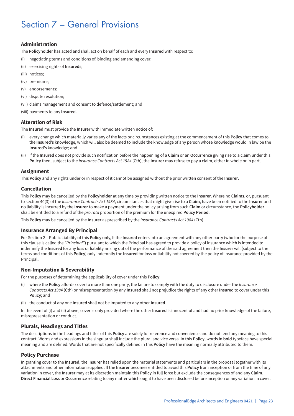# Section 7 – General Provisions

#### **Administration**

The **Policyholder** has acted and shall act on behalf of each and every **Insured** with respect to:

- (i) negotiating terms and conditions of, binding and amending cover;
- (ii) exercising rights of **Insureds**;
- (iii) notices;
- (iv) premiums;
- (v) endorsements;
- (vi) dispute resolution;
- (vii) claims management and consent to defence/settlement; and
- (viii) payments to any **Insured**.

#### **Alteration of Risk**

The **Insured** must provide the **Insurer** with immediate written notice of:

- (i) every change which materially varies any of the facts or circumstances existing at the commencement of this **Policy** that comes to the **Insured's** knowledge, which will also be deemed to include the knowledge of any person whose knowledge would in law be the **Insured's** knowledge; and
- (ii) if the **Insured** does not provide such notification before the happening of a **Claim** or an **Occurrence** giving rise to a claim under this **Policy** then, subject to the *Insurance Contracts Act 1984* (Cth), the **Insurer** may refuse to pay a claim, either in whole or in part.

#### **Assignment**

This **Policy** and any rights under or in respect of it cannot be assigned without the prior written consent of the **Insurer**.

#### **Cancellation**

This **Policy** may be cancelled by the **Policyholder** at any time by providing written notice to the **Insurer**. Where no **Claims**, or, pursuant to section 40(3) of the *Insurance Contracts Act 1984*, circumstances that might give rise to a **Claim**, have been notified to the **Insurer** and no liability is incurred by the **Insurer** to make a payment under the policy arising from such **Claim** or circumstance, the **Policyholder** shall be entitled to a refund of the *pro rata* proportion of the premium for the unexpired **Policy Period**.

This **Policy** may be cancelled by the **Insurer** as prescribed by the *Insurance Contracts Act 1984* (Cth).

#### **Insurance Arranged By Principal**

For Section 2 – Public Liability of this **Policy** only, If the **Insured** enters into an agreement with any other party (who for the purpose of this clause is called the *"Principal"*) pursuant to which the Principal has agreed to provide a policy of insurance which is intended to indemnify the **Insured** for any loss or liability arising out of the performance of the said agreement then the **Insurer** will (subject to the terms and conditions of this **Policy**) only indemnify the **Insured** for loss or liability not covered by the policy of insurance provided by the Principal.

#### **Non-Imputation & Severability**

For the purposes of determining the applicability of cover under this **Policy**:

- (i) where the **Policy** affords cover to more than one party, the failure to comply with the duty to disclosure under the *Insurance Contracts Act 1984* (Cth) or misrepresentation by any **Insured** shall not prejudice the rights of any other **Insured** to cover under this **Policy**; and
- (ii) the conduct of any one **Insured** shall not be imputed to any other **Insured**.

In the event of (i) and (ii) above, cover is only provided where the other **Insured** is innocent of and had no prior knowledge of the failure, misrepresentation or conduct.

#### **Plurals, Headings and Titles**

The descriptions in the headings and titles of this **Policy** are solely for reference and convenience and do not lend any meaning to this contract. Words and expressions in the singular shall include the plural and vice versa. In this **Policy**, words in **bold** typeface have special meaning and are defined. Words that are not specifically defined in this **Policy** have the meaning normally attributed to them.

#### **Policy Purchase**

In granting cover to the **Insured**, the **Insurer** has relied upon the material statements and particulars in the proposal together with its attachments and other information supplied. If the **Insurer** becomes entitled to avoid this **Policy** from inception or from the time of any variation in cover, the **Insurer** may at its discretion maintain this **Policy** in full force but exclude the consequences of and any **Claim**, **Direct Financial Loss** or **Occurrence** relating to any matter which ought to have been disclosed before inception or any variation in cover.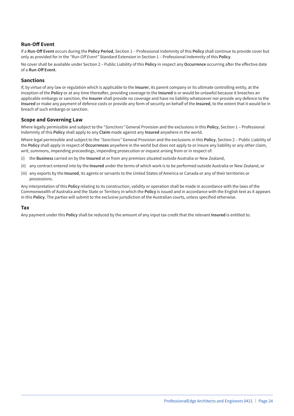#### **Run-Off Event**

If a **Run-Off Event** occurs during the **Policy Period**, Section 1 – Professional Indemnity of this **Policy** shall continue to provide cover but only as provided for in the *"Run-Off Event"* Standard Extension in Section 1 – Professional Indemnity of this **Policy**.

No cover shall be available under Section 2 – Public Liability of this **Policy** in respect any **Occurrence** occurring after the effective date of a **Run-Off Event**.

#### **Sanctions**

If, by virtue of any law or regulation which is applicable to the **Insurer**, its parent company or its ultimate controlling entity, at the inception of the **Policy** or at any time thereafter, providing coverage to the **Insured** is or would be unlawful because it breaches an applicable embargo or sanction, the **Insurer** shall provide no coverage and have no liability whatsoever nor provide any defence to the **Insured** or make any payment of defence costs or provide any form of security on behalf of the **Insured**, to the extent that it would be in breach of such embargo or sanction.

#### **Scope and Governing Law**

Where legally permissible and subject to the *"Sanctions"* General Provision and the exclusions in this **Policy**, Section 1 – Professional Indemnity of this **Policy** shall apply to any **Claim** made against any **Insured** anywhere in the world.

Where legal permissible and subject to the *"Sanctions"* General Provision and the exclusions in this **Policy**, Section 2 – Public Liability of the **Policy** shall apply in respect of **Occurrences** anywhere in the world but does not apply to or insure any liability or any other claim, writ, summons, impending proceedings, impending prosecution or inquest arising from or in respect of:

- (i) the **Business** carried on by the **Insured** at or from any premises situated outside Australia or New Zealand,
- (ii) any contract entered into by the **Insured** under the terms of which work is to be performed outside Australia or New Zealand, or
- (iii) any exports by the **Insured**, its agents or servants to the United States of America or Canada or any of their territories or possessions.

Any interpretation of this **Policy** relating to its construction, validity or operation shall be made in accordance with the laws of the Commonwealth of Australia and the State or Territory in which the **Policy** is issued and in accordance with the English text as it appears in this **Policy**. The parties will submit to the exclusive jurisdiction of the Australian courts, unless specified otherwise.

#### **Tax**

Any payment under this **Policy** shall be reduced by the amount of any input tax credit that the relevant **Insured** is entitled to.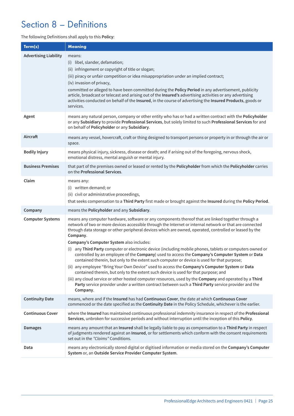# Section 8 – Definitions

#### The following Definitions shall apply to this **Policy**:

| Term(s)                      | <b>Meaning</b>                                                                                                                                                                                                                                                                                                                                                                                                                                                                                                                                                                                                                                                                                                                                                                                                                                                                                                                                                                                                                                                                                                         |
|------------------------------|------------------------------------------------------------------------------------------------------------------------------------------------------------------------------------------------------------------------------------------------------------------------------------------------------------------------------------------------------------------------------------------------------------------------------------------------------------------------------------------------------------------------------------------------------------------------------------------------------------------------------------------------------------------------------------------------------------------------------------------------------------------------------------------------------------------------------------------------------------------------------------------------------------------------------------------------------------------------------------------------------------------------------------------------------------------------------------------------------------------------|
| <b>Advertising Liability</b> | means:<br>(i) libel, slander, defamation;<br>(ii) infringement or copyright of title or slogan;<br>(iii) piracy or unfair competition or idea misappropriation under an implied contract;<br>(iv) invasion of privacy,<br>committed or alleged to have been committed during the Policy Period in any advertisement, publicity<br>article, broadcast or telecast and arising out of the Insured's advertising activities or any advertising<br>activities conducted on behalf of the Insured, in the course of advertising the Insured Products, goods or<br>services.                                                                                                                                                                                                                                                                                                                                                                                                                                                                                                                                                 |
| Agent                        | means any natural person, company or other entity who has or had a written contract with the Policyholder<br>or any Subsidiary to provide Professional Services, but solely limited to such Professional Services for and<br>on behalf of Policyholder or any Subsidiary.                                                                                                                                                                                                                                                                                                                                                                                                                                                                                                                                                                                                                                                                                                                                                                                                                                              |
| Aircraft                     | means any vessel, hovercraft, craft or thing designed to transport persons or property in or through the air or<br>space.                                                                                                                                                                                                                                                                                                                                                                                                                                                                                                                                                                                                                                                                                                                                                                                                                                                                                                                                                                                              |
| <b>Bodily Injury</b>         | means physical injury, sickness, disease or death; and if arising out of the foregoing, nervous shock,<br>emotional distress, mental anguish or mental injury.                                                                                                                                                                                                                                                                                                                                                                                                                                                                                                                                                                                                                                                                                                                                                                                                                                                                                                                                                         |
| <b>Business Premises</b>     | that part of the premises owned or leased or rented by the Policyholder from which the Policyholder carries<br>on the Professional Services.                                                                                                                                                                                                                                                                                                                                                                                                                                                                                                                                                                                                                                                                                                                                                                                                                                                                                                                                                                           |
| Claim                        | means any:<br>(i) written demand; or<br>(ii) civil or administrative proceedings,<br>that seeks compensation to a Third Party first made or brought against the Insured during the Policy Period.                                                                                                                                                                                                                                                                                                                                                                                                                                                                                                                                                                                                                                                                                                                                                                                                                                                                                                                      |
| Company                      | means the Policyholder and any Subsidiary.                                                                                                                                                                                                                                                                                                                                                                                                                                                                                                                                                                                                                                                                                                                                                                                                                                                                                                                                                                                                                                                                             |
| <b>Computer Systems</b>      | means any computer hardware, software or any components thereof that are linked together through a<br>network of two or more devices accessible through the Internet or internal network or that are connected<br>through data storage or other peripheral devices which are owned, operated, controlled or leased by the<br>Company.<br>Company's Computer System also includes:<br>(i) any Third Party computer or electronic device (including mobile phones, tablets or computers owned or<br>controlled by an employee of the Company) used to access the Company's Computer System or Data<br>contained therein, but only to the extent such computer or device is used for that purpose;<br>(ii) any employee "Bring Your Own Device" used to access the Company's Computer System or Data<br>contained therein, but only to the extent such device is used for that purpose; and<br>(iii) any cloud service or other hosted computer resources, used by the Company and operated by a Third<br>Party service provider under a written contract between such a Third Party service provider and the<br>Company. |
| <b>Continuity Date</b>       | means, where and if the Insured has had Continuous Cover, the date at which Continuous Cover<br>commenced or the date specified as the Continuity Date in the Policy Schedule, whichever is the earlier.                                                                                                                                                                                                                                                                                                                                                                                                                                                                                                                                                                                                                                                                                                                                                                                                                                                                                                               |
| <b>Continuous Cover</b>      | where the Insured has maintained continuous professional indemnity insurance in respect of the Professional<br>Services, unbroken for successive periods and without interruption until the inception of this Policy.                                                                                                                                                                                                                                                                                                                                                                                                                                                                                                                                                                                                                                                                                                                                                                                                                                                                                                  |
| <b>Damages</b>               | means any amount that an Insured shall be legally liable to pay as compensation to a Third Party in respect<br>of judgments rendered against an Insured, or for settlements which conform with the consent requirements<br>set out in the "Claims" Conditions.                                                                                                                                                                                                                                                                                                                                                                                                                                                                                                                                                                                                                                                                                                                                                                                                                                                         |
| Data                         | means any electronically stored digital or digitised information or media stored on the Company's Computer<br>System or, an Outside Service Provider Computer System.                                                                                                                                                                                                                                                                                                                                                                                                                                                                                                                                                                                                                                                                                                                                                                                                                                                                                                                                                  |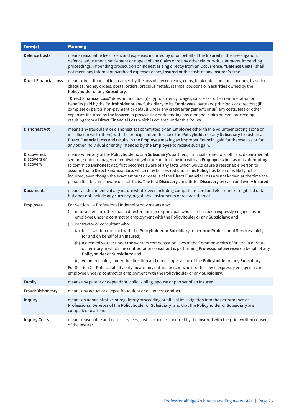| Term(s)                                         | <b>Meaning</b>                                                                                                                                                                                                                                                                                                                                                                                                                                                                                                                                                                                                                                                                                      |
|-------------------------------------------------|-----------------------------------------------------------------------------------------------------------------------------------------------------------------------------------------------------------------------------------------------------------------------------------------------------------------------------------------------------------------------------------------------------------------------------------------------------------------------------------------------------------------------------------------------------------------------------------------------------------------------------------------------------------------------------------------------------|
| <b>Defence Costs</b>                            | means reasonable fees, costs and expenses incurred by or on behalf of the Insured in the investigation,<br>defence, adjustment, settlement or appeal of any Claim or of any other claim, writ, summons, impending<br>proceedings, impending prosecution or inquest arising directly from an Occurrence. "Defence Costs" shall<br>not mean any internal or overhead expenses of any Insured or the costs of any Insured's time.                                                                                                                                                                                                                                                                      |
| <b>Direct Financial Loss</b>                    | means direct financial loss caused by the loss of any currency, coins, bank notes, bullion, cheques, travellers'<br>cheques, money orders, postal orders, precious metals, stamps, coupons or Securities owned by the<br>Policyholder or any Subsidiary.<br>"Direct Financial Loss" does not include: (i) cryptocurrency, wages, salaries or other remuneration or<br>benefits paid by the Policyholder or any Subsidiary to its Employees, partners, principals or directors; (ii)                                                                                                                                                                                                                 |
|                                                 | complete or partial non-payment or default under any credit arrangement; or (iii) any costs, fees or other<br>expenses incurred by the Insured in prosecuting or defending any demand, claim or legal proceeding<br>resulting from a Direct Financial Loss which is covered under this Policy.                                                                                                                                                                                                                                                                                                                                                                                                      |
| <b>Dishonest Act</b>                            | means any fraudulent or dishonest act committed by an Employee other than a volunteer (acting alone or<br>in collusion with others) with the principal intent to cause the Policyholder or any Subsidiary to sustain a<br>Direct Financial Loss and results in the Employee making an improper financial gain for themselves or for<br>any other individual or entity intended by the Employee to receive such gain.                                                                                                                                                                                                                                                                                |
| Discovered,<br>Discovers or<br><b>Discovery</b> | means when any of the Policyholder's, or a Subsidiary's partners, principals, directors, officers, departmental<br>seniors, senior managers or equivalent (who are not in collusion with an Employee who has or is attempting<br>to commit a Dishonest Act) first becomes aware of any facts which would cause a reasonable person to<br>assume that a Direct Financial Loss which may be covered under this Policy has been or is likely to be<br>incurred, even though the exact amount or details of the Direct Financial Loss are not known at the time the<br>person first became aware of such facts. The first Discovery constitutes Discovery by each and every Insured.                    |
| <b>Documents</b>                                | means all documents of any nature whatsoever including computer record and electronic or digitised data;<br>but does not include any currency, negotiable instruments or records thereof.                                                                                                                                                                                                                                                                                                                                                                                                                                                                                                           |
| Employee                                        | For Section 1 - Professional Indemnity only means any:<br>(i) natural person, other than a director partner or principal, who is or has been expressly engaged as an<br>employee under a contract of employment with the Policyholder or any Subsidiary; and<br>(ii) contractor or consultant who:<br>(a) has a written contract with the Policyholder or Subsidiary to perform Professional Services solely<br>for and on behalf of an Insured;<br>(b) a deemed worker under the workers compensation laws of the Commonwealth of Australia or State<br>or Territory in which the contractor or consultant is performing Professional Services on behalf of any<br>Policyholder or Subsidiary; and |
|                                                 | (c) volunteer solely under the direction and direct supervision of the Policyholder or any Subsidiary.<br>For Section 2 - Public Liability only means any natural person who is or has been expressly engaged as an<br>employee under a contract of employment with the Policyholder or any Subsidiary.                                                                                                                                                                                                                                                                                                                                                                                             |
| Family                                          | means any parent or dependant, child, sibling, spouse or partner of an Insured.                                                                                                                                                                                                                                                                                                                                                                                                                                                                                                                                                                                                                     |
| Fraud/Dishonesty                                | means any actual or alleged fraudulent or dishonest conduct.                                                                                                                                                                                                                                                                                                                                                                                                                                                                                                                                                                                                                                        |
| <b>Inquiry</b>                                  | means an administrative or regulatory proceeding or official investigation into the performance of<br>Professional Services of the Policyholder or Subsidiary, and that the Policyholder or Subsidiary are<br>compelled to attend.                                                                                                                                                                                                                                                                                                                                                                                                                                                                  |
| <b>Inquiry Costs</b>                            | means reasonable and necessary fees, costs, expenses incurred by the Insured with the prior written consent<br>of the Insurer.                                                                                                                                                                                                                                                                                                                                                                                                                                                                                                                                                                      |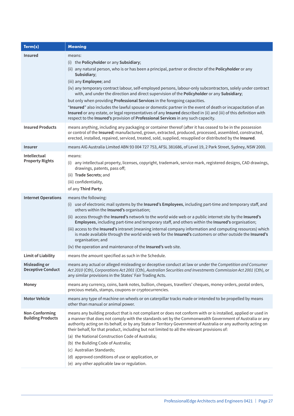| Term(s)                                          | <b>Meaning</b>                                                                                                                                                                                                                                                                                                                                                                                                                                                                                                                                                                                                                                                                                                                                                                                                                       |
|--------------------------------------------------|--------------------------------------------------------------------------------------------------------------------------------------------------------------------------------------------------------------------------------------------------------------------------------------------------------------------------------------------------------------------------------------------------------------------------------------------------------------------------------------------------------------------------------------------------------------------------------------------------------------------------------------------------------------------------------------------------------------------------------------------------------------------------------------------------------------------------------------|
| <b>Insured</b>                                   | means:<br>(i) the Policyholder or any Subsidiary;<br>(ii) any natural person, who is or has been a principal, partner or director of the <b>Policyholder</b> or any<br>Subsidiary;<br>(iii) any Employee; and<br>(iv) any temporary contract labour, self-employed persons, labour-only subcontractors, solely under contract<br>with, and under the direction and direct supervision of the Policyholder or any Subsidiary;<br>but only when providing Professional Services in the foregoing capacities.<br>"Insured" also includes the lawful spouse or domestic partner in the event of death or incapacitation of an<br>Insured or any estate, or legal representatives of any Insured described in (ii) and (iii) of this definition with<br>respect to the Insured's provision of Professional Services in any such capacity. |
| <b>Insured Products</b>                          | means anything, including any packaging or container thereof (after it has ceased to be in the possession<br>or control of the Insured) manufactured, grown, extracted, produced, processed, assembled, constructed,<br>erected, installed, repaired, serviced, treated, sold, supplied, resupplied or distributed by the Insured.                                                                                                                                                                                                                                                                                                                                                                                                                                                                                                   |
| <b>Insurer</b>                                   | means AIG Australia Limited ABN 93 004 727 753, AFSL 381686, of Level 19, 2 Park Street, Sydney, NSW 2000.                                                                                                                                                                                                                                                                                                                                                                                                                                                                                                                                                                                                                                                                                                                           |
| Intellectual<br><b>Property Rights</b>           | means:<br>(i) any intellectual property, licenses, copyright, trademark, service mark, registered designs, CAD drawings,<br>drawings, patents, pass off;<br>(ii) Trade Secrets; and<br>(iii) confidentiality,<br>of any Third Party.                                                                                                                                                                                                                                                                                                                                                                                                                                                                                                                                                                                                 |
| <b>Internet Operations</b>                       | means the following:<br>(i) use of electronic mail systems by the Insured's Employees, including part-time and temporary staff, and<br>others within the Insured's organisation;<br>(ii) access through the Insured's network to the world wide web or a public internet site by the Insured's<br>Employees, including part-time and temporary staff, and others within the Insured's organisation;<br>(iii) access to the Insured's intranet (meaning internal company information and computing resources) which<br>is made available through the world wide web for the Insured's customers or other outside the Insured's<br>organisation; and<br>(iv) the operation and maintenance of the Insured's web site.                                                                                                                  |
| <b>Limit of Liability</b>                        | means the amount specified as such in the Schedule.                                                                                                                                                                                                                                                                                                                                                                                                                                                                                                                                                                                                                                                                                                                                                                                  |
| <b>Misleading or</b><br><b>Deceptive Conduct</b> | means any actual or alleged misleading or deceptive conduct at law or under the Competition and Consumer<br>Act 2010 (Cth), Corporations Act 2001 (Cth), Australian Securities and Investments Commission Act 2001 (Cth), or<br>any similar provisions in the States' Fair Trading Acts.                                                                                                                                                                                                                                                                                                                                                                                                                                                                                                                                             |
| Money                                            | means any currency, coins, bank notes, bullion, cheques, travellers' cheques, money orders, postal orders,<br>precious metals, stamps, coupons or cryptocurrencies.                                                                                                                                                                                                                                                                                                                                                                                                                                                                                                                                                                                                                                                                  |
| <b>Motor Vehicle</b>                             | means any type of machine on wheels or on caterpillar tracks made or intended to be propelled by means<br>other than manual or animal power.                                                                                                                                                                                                                                                                                                                                                                                                                                                                                                                                                                                                                                                                                         |
| Non-Conforming<br><b>Building Products</b>       | means any building product that is not compliant or does not conform with or is installed, applied or used in<br>a manner that does not comply with the standards set by the Commonwealth Government of Australia or any<br>authority acting on its behalf, or by any State or Territory Government of Australia or any authority acting on<br>their behalf, for that product, including but not limited to all the relevant provisions of:<br>(a) the National Construction Code of Australia;<br>(b) the Building Code of Australia;<br>(c) Australian Standards;<br>(d) approved conditions of use or application, or<br>(e) any other applicable law or regulation.                                                                                                                                                              |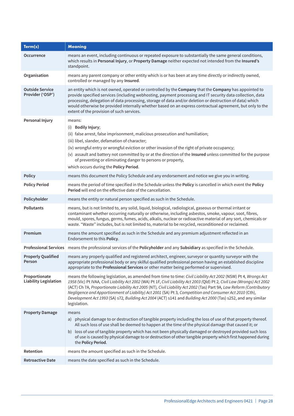| Term(s)                                       | <b>Meaning</b>                                                                                                                                                                                                                                                                                                                                                                                                                                                                                                                                                                                                  |
|-----------------------------------------------|-----------------------------------------------------------------------------------------------------------------------------------------------------------------------------------------------------------------------------------------------------------------------------------------------------------------------------------------------------------------------------------------------------------------------------------------------------------------------------------------------------------------------------------------------------------------------------------------------------------------|
| <b>Occurrence</b>                             | means an event, including continuous or repeated exposure to substantially the same general conditions,<br>which results in Personal Injury, or Property Damage neither expected not intended from the Insured's<br>standpoint.                                                                                                                                                                                                                                                                                                                                                                                 |
| Organisation                                  | means any parent company or other entity which is or has been at any time directly or indirectly owned,<br>controlled or managed by any Insured.                                                                                                                                                                                                                                                                                                                                                                                                                                                                |
| <b>Outside Service</b><br>Provider ('OSP')    | an entity which is not owned, operated or controlled by the Company that the Company has appointed to<br>provide specified services (including webhosting, payment processing and IT security data collection, data<br>processing, delegation of data processing, storage of data and/or deletion or destruction of data) which<br>would otherwise be provided internally whether based on an express contractual agreement, but only to the<br>extent of the provision of such services.                                                                                                                       |
| Personal Injury                               | means:<br>(i) Bodily Injury;<br>(ii) false arrest, false imprisonment, malicious prosecution and humiliation;<br>(iii) libel, slander, defamation of character;<br>(iv) wrongful entry or wrongful eviction or other invasion of the right of private occupancy;<br>(v) assault and battery not committed by or at the direction of the Insured unless committed for the purpose<br>of preventing or eliminating danger to persons or property,<br>which occurs during the Policy Period.                                                                                                                       |
| <b>Policy</b>                                 | means this document the Policy Schedule and any endorsement and notice we give you in writing.                                                                                                                                                                                                                                                                                                                                                                                                                                                                                                                  |
| <b>Policy Period</b>                          | means the period of time specified in the Schedule unless the Policy is cancelled in which event the Policy<br><b>Period</b> will end on the effective date of the cancellation.                                                                                                                                                                                                                                                                                                                                                                                                                                |
| Policyholder                                  | means the entity or natural person specified as such in the Schedule.                                                                                                                                                                                                                                                                                                                                                                                                                                                                                                                                           |
| <b>Pollutants</b>                             | means, but is not limited to, any solid, liquid, biological, radiological, gaseous or thermal irritant or<br>contaminant whether occurring naturally or otherwise, including asbestos, smoke, vapour, soot, fibres,<br>mould, spores, fungus, germs, fumes, acids, alkalis, nuclear or radioactive material of any sort, chemicals or<br>waste. "Waste" includes, but is not limited to, material to be recycled, reconditioned or reclaimed.                                                                                                                                                                   |
| Premium                                       | means the amount specified as such in the Schedule and any premium adjustment reflected in an<br>Endorsement to this Policy.                                                                                                                                                                                                                                                                                                                                                                                                                                                                                    |
| <b>Professional Services</b>                  | means the professional services of the Policyholder and any Subsidiary as specified in the Schedule.                                                                                                                                                                                                                                                                                                                                                                                                                                                                                                            |
| <b>Properly Qualified</b><br>Person           | means any properly qualified and registered architect, engineer, surveyor or quantity surveyor with the<br>appropriate professional body or any skilful qualified professional person having an established discipline<br>appropriate to the Professional Services or other matter being performed or supervised.                                                                                                                                                                                                                                                                                               |
| Proportionate<br><b>Liability Legislation</b> | means the following legislation, as amended from time to time: Civil Liability Act 2002 (NSW) Pt 4, Wrongs Act<br>1958 (Vic) Pt IVAA, Civil Liability Act 2002 (WA) Pt 1F, Civil Liability Act 2003 (Qld) Pt 2, Civil Law (Wrongs) Act 2002<br>(ACT) Ch 7A, Proportionate Liability Act 2005 (NT), Civil Liability Act 2002 (Tas) Part 9A, Law Reform (Contributory<br>Negligence and Apportionment of Liability) Act 2001 (SA) Pt 3, Competition and Consumer Act 2010 (Cth),<br>Development Act 1993 (SA) s72, Building Act 2004 (ACT) s141 and Building Act 2000 (Tas) s252, and any similar<br>legislation. |
| <b>Property Damage</b>                        | means<br>a) physical damage to or destruction of tangible property including the loss of use of that property thereof.<br>All such loss of use shall be deemed to happen at the time of the physical damage that caused it; or<br>b) loss of use of tangible property which has not been physically damaged or destroyed provided such loss<br>of use is caused by physical damage to or destruction of other tangible property which first happened during<br>the Policy Period.                                                                                                                               |
| Retention                                     | means the amount specified as such in the Schedule.                                                                                                                                                                                                                                                                                                                                                                                                                                                                                                                                                             |
| <b>Retroactive Date</b>                       | means the date specified as such in the Schedule.                                                                                                                                                                                                                                                                                                                                                                                                                                                                                                                                                               |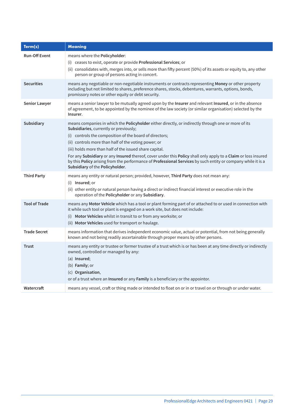| Term(s)              | <b>Meaning</b>                                                                                                                                                                                                                                                                                                                                                                                                                                                                                                                                                                                   |
|----------------------|--------------------------------------------------------------------------------------------------------------------------------------------------------------------------------------------------------------------------------------------------------------------------------------------------------------------------------------------------------------------------------------------------------------------------------------------------------------------------------------------------------------------------------------------------------------------------------------------------|
| <b>Run-Off Event</b> | means where the Policyholder:<br>(i) ceases to exist, operate or provide Professional Services; or<br>(ii) consolidates with, merges into, or sells more than fifty percent (50%) of its assets or equity to, any other<br>person or group of persons acting in concert.                                                                                                                                                                                                                                                                                                                         |
| <b>Securities</b>    | means any negotiable or non-negotiable instruments or contracts representing Money or other property<br>including but not limited to shares, preference shares, stocks, debentures, warrants, options, bonds,<br>promissory notes or other equity or debt security.                                                                                                                                                                                                                                                                                                                              |
| Senior Lawyer        | means a senior lawyer to be mutually agreed upon by the Insurer and relevant Insured, or in the absence<br>of agreement, to be appointed by the nominee of the law society (or similar organisation) selected by the<br>Insurer.                                                                                                                                                                                                                                                                                                                                                                 |
| Subsidiary           | means companies in which the Policyholder either directly, or indirectly through one or more of its<br>Subsidiaries, currently or previously;<br>(i) controls the composition of the board of directors;<br>(ii) controls more than half of the voting power; or<br>(iii) holds more than half of the issued share capital.<br>For any Subsidiary or any Insured thereof, cover under this Policy shall only apply to a Claim or loss insured<br>by this Policy arising from the performance of Professional Services by such entity or company while it is a<br>Subsidiary of the Policyholder. |
| <b>Third Party</b>   | means any entity or natural person; provided, however, Third Party does not mean any:<br>(i) Insured; or<br>(ii) other entity or natural person having a direct or indirect financial interest or executive role in the<br>operation of the Policyholder or any Subsidiary.                                                                                                                                                                                                                                                                                                                      |
| <b>Tool of Trade</b> | means any Motor Vehicle which has a tool or plant forming part of or attached to or used in connection with<br>it while such tool or plant is engaged on a work site, but does not include:<br>(i) Motor Vehicles whilst in transit to or from any worksite; or<br>(ii) Motor Vehicles used for transport or haulage.                                                                                                                                                                                                                                                                            |
| <b>Trade Secret</b>  | means information that derives independent economic value, actual or potential, from not being generally<br>known and not being readily ascertainable through proper means by other persons.                                                                                                                                                                                                                                                                                                                                                                                                     |
| <b>Trust</b>         | means any entity or trustee or former trustee of a trust which is or has been at any time directly or indirectly<br>owned, controlled or managed by any:<br>(a) Insured;<br>(b) Family; or<br>(c) Organisation,<br>or of a trust where an <b>Insured</b> or any <b>Family</b> is a beneficiary or the appointor.                                                                                                                                                                                                                                                                                 |
| Watercraft           | means any vessel, craft or thing made or intended to float on or in or travel on or through or under water.                                                                                                                                                                                                                                                                                                                                                                                                                                                                                      |